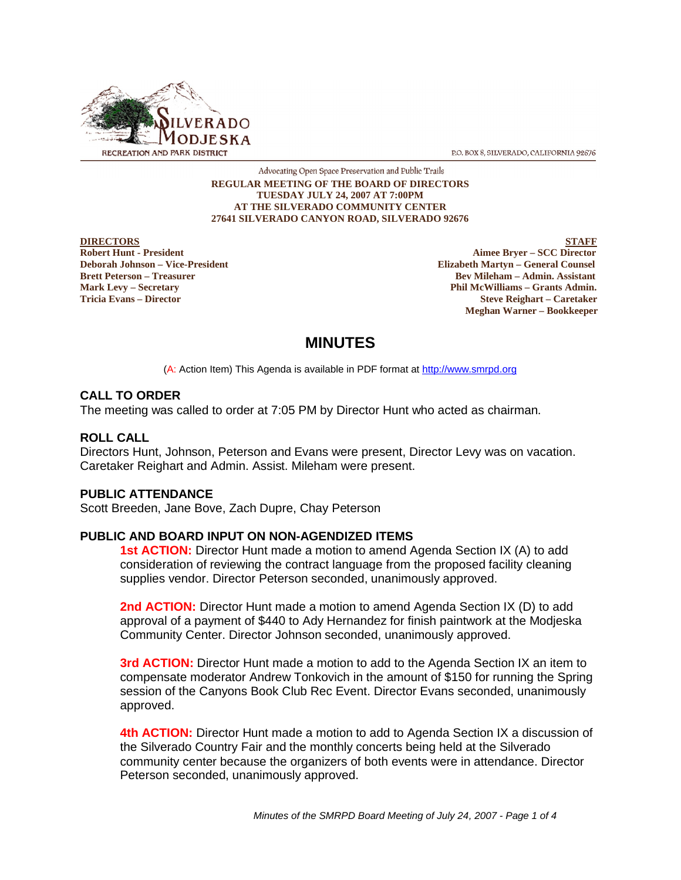

P.O. BOX 8, SILVERADO, CALIFORNIA 92676

#### Advocating Open Space Preservation and Public Trails **REGULAR MEETING OF THE BOARD OF DIRECTORS TUESDAY JULY 24, 2007 AT 7:00PM AT THE SILVERADO COMMUNITY CENTER 27641 SILVERADO CANYON ROAD, SILVERADO 92676**

**DIRECTORS** STAFF<br>
Robert Hunt - President State of March 2008 State of March 2009<br>
Aimee Bryer – SCC Director

**Aimee Bryer – SCC Director Deborah Johnson – Vice-President Elizabeth Martyn – General Counsel Brett Peterson – Treasurer Bev Mileham – Admin. Assistant Mark Levy – Secretary Phil McWilliams – Grants Admin. Tricia Evans – Director Steve Reighart – Caretaker Meghan Warner – Bookkeeper**

# **MINUTES**

(A: Action Item) This Agenda is available in PDF format at http://www.smrpd.org

## **CALL TO ORDER**

The meeting was called to order at 7:05 PM by Director Hunt who acted as chairman.

## **ROLL CALL**

Directors Hunt, Johnson, Peterson and Evans were present, Director Levy was on vacation. Caretaker Reighart and Admin. Assist. Mileham were present.

### **PUBLIC ATTENDANCE**

Scott Breeden, Jane Bove, Zach Dupre, Chay Peterson

### **PUBLIC AND BOARD INPUT ON NON-AGENDIZED ITEMS**

**1st ACTION:** Director Hunt made a motion to amend Agenda Section IX (A) to add consideration of reviewing the contract language from the proposed facility cleaning supplies vendor. Director Peterson seconded, unanimously approved.

**2nd ACTION:** Director Hunt made a motion to amend Agenda Section IX (D) to add approval of a payment of \$440 to Ady Hernandez for finish paintwork at the Modjeska Community Center. Director Johnson seconded, unanimously approved.

**3rd ACTION:** Director Hunt made a motion to add to the Agenda Section IX an item to compensate moderator Andrew Tonkovich in the amount of \$150 for running the Spring session of the Canyons Book Club Rec Event. Director Evans seconded, unanimously approved.

**4th ACTION:** Director Hunt made a motion to add to Agenda Section IX a discussion of the Silverado Country Fair and the monthly concerts being held at the Silverado community center because the organizers of both events were in attendance. Director Peterson seconded, unanimously approved.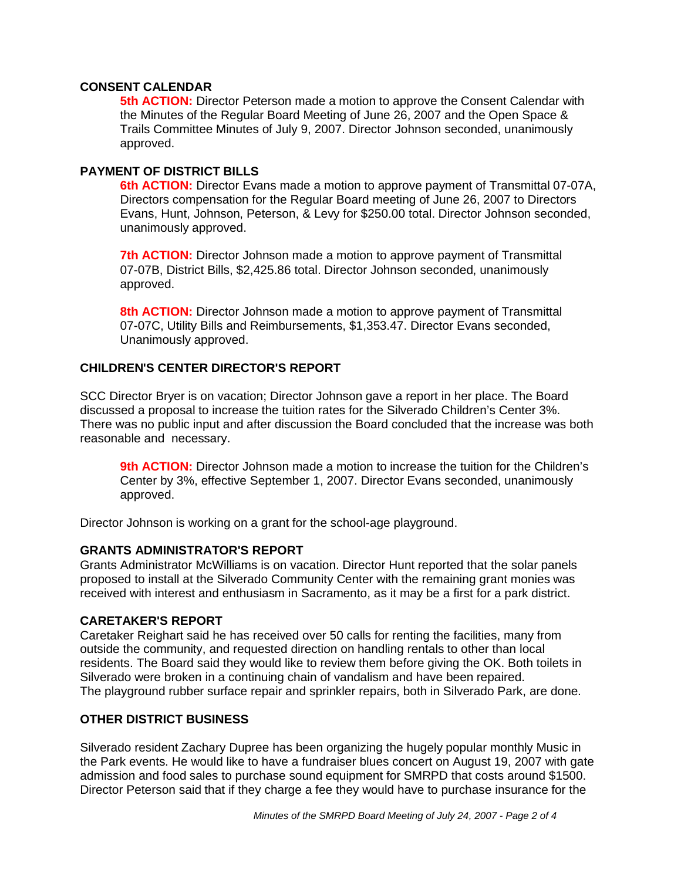## **CONSENT CALENDAR**

**5th ACTION:** Director Peterson made a motion to approve the Consent Calendar with the Minutes of the Regular Board Meeting of June 26, 2007 and the Open Space & Trails Committee Minutes of July 9, 2007. Director Johnson seconded, unanimously approved.

## **PAYMENT OF DISTRICT BILLS**

**6th ACTION:** Director Evans made a motion to approve payment of Transmittal 07-07A, Directors compensation for the Regular Board meeting of June 26, 2007 to Directors Evans, Hunt, Johnson, Peterson, & Levy for \$250.00 total. Director Johnson seconded, unanimously approved.

**7th ACTION:** Director Johnson made a motion to approve payment of Transmittal 07-07B, District Bills, \$2,425.86 total. Director Johnson seconded, unanimously approved.

8th **ACTION:** Director Johnson made a motion to approve payment of Transmittal 07-07C, Utility Bills and Reimbursements, \$1,353.47. Director Evans seconded, Unanimously approved.

## **CHILDREN'S CENTER DIRECTOR'S REPORT**

SCC Director Bryer is on vacation; Director Johnson gave a report in her place. The Board discussed a proposal to increase the tuition rates for the Silverado Children's Center 3%. There was no public input and after discussion the Board concluded that the increase was both reasonable and necessary.

**9th ACTION:** Director Johnson made a motion to increase the tuition for the Children's Center by 3%, effective September 1, 2007. Director Evans seconded, unanimously approved.

Director Johnson is working on a grant for the school-age playground.

## **GRANTS ADMINISTRATOR'S REPORT**

Grants Administrator McWilliams is on vacation. Director Hunt reported that the solar panels proposed to install at the Silverado Community Center with the remaining grant monies was received with interest and enthusiasm in Sacramento, as it may be a first for a park district.

### **CARETAKER'S REPORT**

Caretaker Reighart said he has received over 50 calls for renting the facilities, many from outside the community, and requested direction on handling rentals to other than local residents. The Board said they would like to review them before giving the OK. Both toilets in Silverado were broken in a continuing chain of vandalism and have been repaired. The playground rubber surface repair and sprinkler repairs, both in Silverado Park, are done.

### **OTHER DISTRICT BUSINESS**

Silverado resident Zachary Dupree has been organizing the hugely popular monthly Music in the Park events. He would like to have a fundraiser blues concert on August 19, 2007 with gate admission and food sales to purchase sound equipment for SMRPD that costs around \$1500. Director Peterson said that if they charge a fee they would have to purchase insurance for the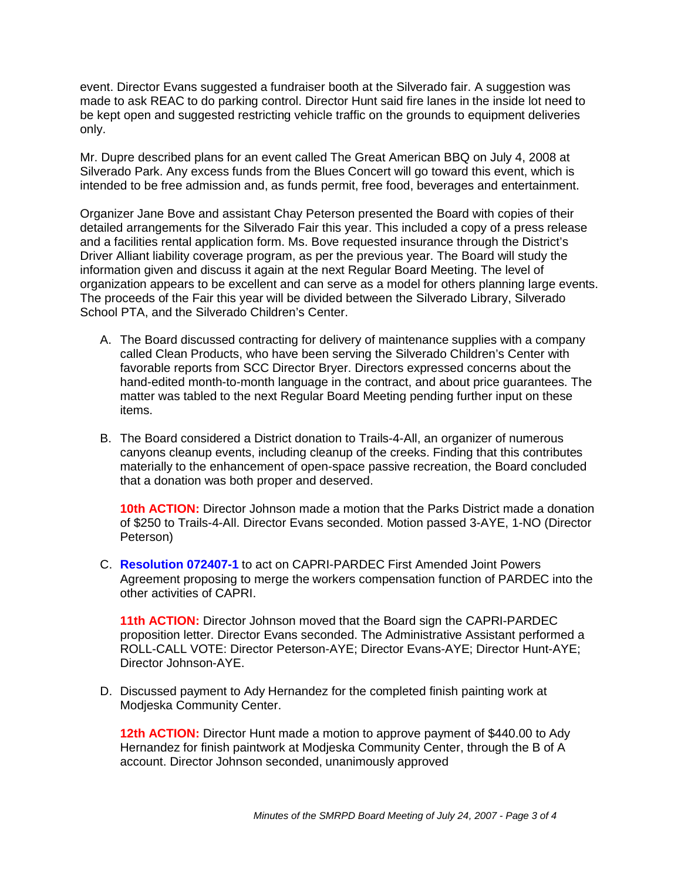event. Director Evans suggested a fundraiser booth at the Silverado fair. A suggestion was made to ask REAC to do parking control. Director Hunt said fire lanes in the inside lot need to be kept open and suggested restricting vehicle traffic on the grounds to equipment deliveries only.

Mr. Dupre described plans for an event called The Great American BBQ on July 4, 2008 at Silverado Park. Any excess funds from the Blues Concert will go toward this event, which is intended to be free admission and, as funds permit, free food, beverages and entertainment.

Organizer Jane Bove and assistant Chay Peterson presented the Board with copies of their detailed arrangements for the Silverado Fair this year. This included a copy of a press release and a facilities rental application form. Ms. Bove requested insurance through the District's Driver Alliant liability coverage program, as per the previous year. The Board will study the information given and discuss it again at the next Regular Board Meeting. The level of organization appears to be excellent and can serve as a model for others planning large events. The proceeds of the Fair this year will be divided between the Silverado Library, Silverado School PTA, and the Silverado Children's Center.

- A. The Board discussed contracting for delivery of maintenance supplies with a company called Clean Products, who have been serving the Silverado Children's Center with favorable reports from SCC Director Bryer. Directors expressed concerns about the hand-edited month-to-month language in the contract, and about price guarantees. The matter was tabled to the next Regular Board Meeting pending further input on these items.
- B. The Board considered a District donation to Trails-4-All, an organizer of numerous canyons cleanup events, including cleanup of the creeks. Finding that this contributes materially to the enhancement of open-space passive recreation, the Board concluded that a donation was both proper and deserved.

**10th ACTION:** Director Johnson made a motion that the Parks District made a donation of \$250 to Trails-4-All. Director Evans seconded. Motion passed 3-AYE, 1-NO (Director Peterson)

C. **Resolution 072407-1** to act on CAPRI-PARDEC First Amended Joint Powers Agreement proposing to merge the workers compensation function of PARDEC into the other activities of CAPRI.

**11th ACTION:** Director Johnson moved that the Board sign the CAPRI-PARDEC proposition letter. Director Evans seconded. The Administrative Assistant performed a ROLL-CALL VOTE: Director Peterson-AYE; Director Evans-AYE; Director Hunt-AYE; Director Johnson-AYE.

D. Discussed payment to Ady Hernandez for the completed finish painting work at Modjeska Community Center.

**12th ACTION:** Director Hunt made a motion to approve payment of \$440.00 to Ady Hernandez for finish paintwork at Modjeska Community Center, through the B of A account. Director Johnson seconded, unanimously approved